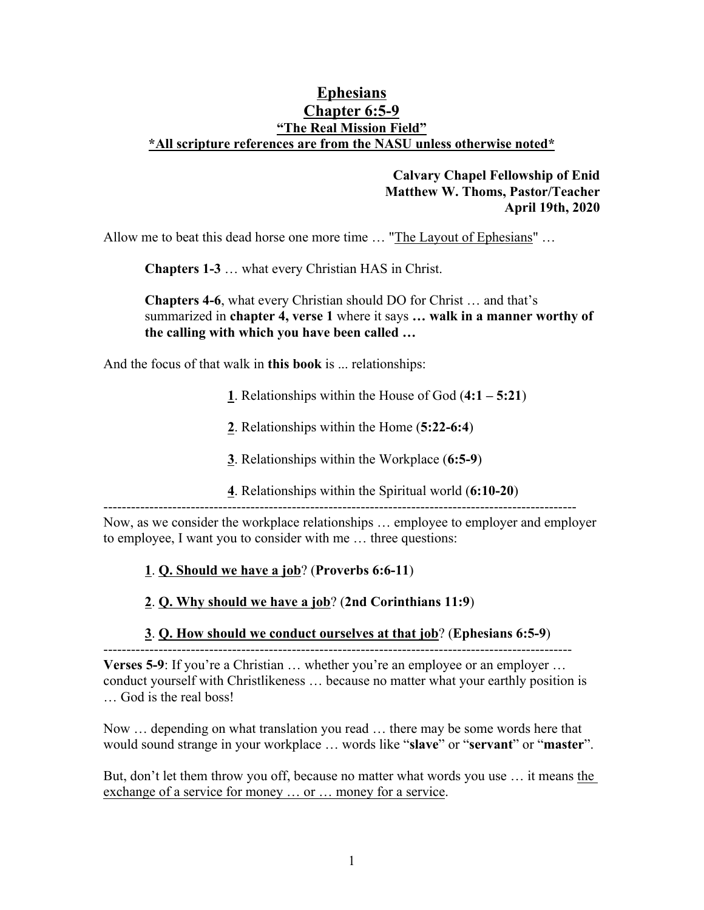## **Ephesians Chapter 6:5-9 "The Real Mission Field" \*All scripture references are from the NASU unless otherwise noted\***

## **Calvary Chapel Fellowship of Enid Matthew W. Thoms, Pastor/Teacher April 19th, 2020**

Allow me to beat this dead horse one more time … "The Layout of Ephesians" …

**Chapters 1-3** … what every Christian HAS in Christ.

**Chapters 4-6**, what every Christian should DO for Christ … and that's summarized in **chapter 4, verse 1** where it says **… walk in a manner worthy of the calling with which you have been called …**

And the focus of that walk in **this book** is ... relationships:

- **1**. Relationships within the House of God (**4:1 5:21**)
- **2**. Relationships within the Home (**5:22-6:4**)
- **3**. Relationships within the Workplace (**6:5-9**)
- **4**. Relationships within the Spiritual world (**6:10-20**)

-------------------------------------------------------------------------------------------------------

Now, as we consider the workplace relationships … employee to employer and employer to employee, I want you to consider with me … three questions:

#### **1**. **Q. Should we have a job**? (**Proverbs 6:6-11**)

- **2**. **Q. Why should we have a job**? (**2nd Corinthians 11:9**)
- **3**. **Q. How should we conduct ourselves at that job**? (**Ephesians 6:5-9**)

------------------------------------------------------------------------------------------------------ **Verses 5-9**: If you're a Christian ... whether you're an employee or an employer ... conduct yourself with Christlikeness … because no matter what your earthly position is … God is the real boss!

Now … depending on what translation you read … there may be some words here that would sound strange in your workplace … words like "**slave**" or "**servant**" or "**master**".

But, don't let them throw you off, because no matter what words you use … it means the exchange of a service for money ... or ... money for a service.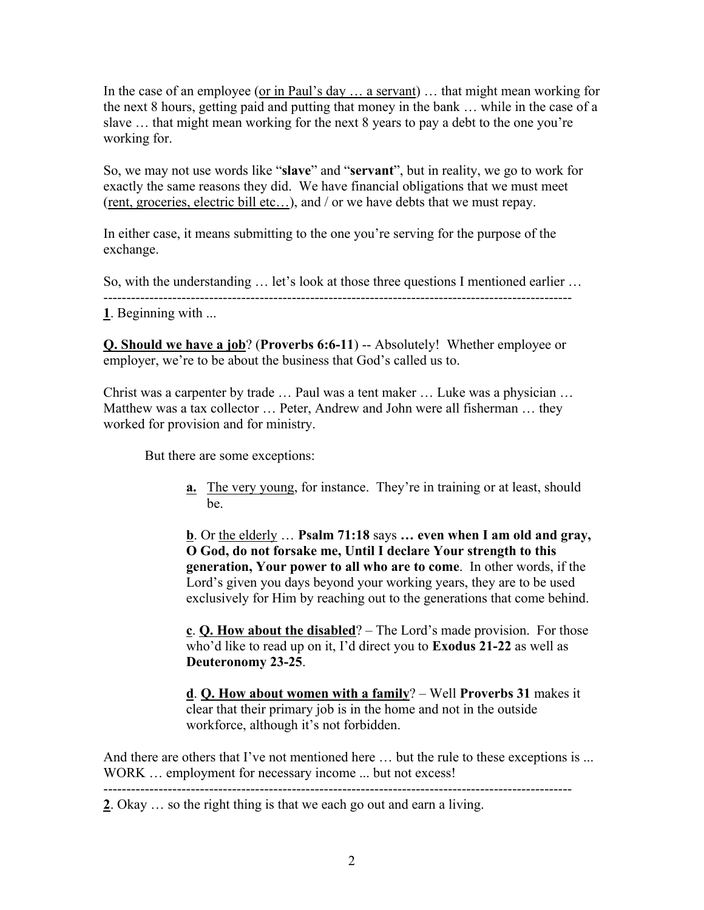In the case of an employee (or in Paul's day ... a servant) ... that might mean working for the next 8 hours, getting paid and putting that money in the bank … while in the case of a slave … that might mean working for the next 8 years to pay a debt to the one you're working for.

So, we may not use words like "**slave**" and "**servant**", but in reality, we go to work for exactly the same reasons they did. We have financial obligations that we must meet (rent, groceries, electric bill etc…), and / or we have debts that we must repay.

In either case, it means submitting to the one you're serving for the purpose of the exchange.

So, with the understanding  $\ldots$  let's look at those three questions I mentioned earlier  $\ldots$ **1**. Beginning with ...

**Q. Should we have a job**? (**Proverbs 6:6-11**) -- Absolutely! Whether employee or employer, we're to be about the business that God's called us to.

Christ was a carpenter by trade … Paul was a tent maker … Luke was a physician … Matthew was a tax collector … Peter, Andrew and John were all fisherman … they worked for provision and for ministry.

But there are some exceptions:

**a.** The very young, for instance. They're in training or at least, should be.

**b**. Or the elderly … **Psalm 71:18** says **… even when I am old and gray, O God, do not forsake me, Until I declare Your strength to this generation, Your power to all who are to come**. In other words, if the Lord's given you days beyond your working years, they are to be used exclusively for Him by reaching out to the generations that come behind.

**c**. **Q. How about the disabled**? – The Lord's made provision. For those who'd like to read up on it, I'd direct you to **Exodus 21-22** as well as **Deuteronomy 23-25**.

**d**. **Q. How about women with a family**? – Well **Proverbs 31** makes it clear that their primary job is in the home and not in the outside workforce, although it's not forbidden.

And there are others that I've not mentioned here ... but the rule to these exceptions is ... WORK ... employment for necessary income ... but not excess!

**2**. Okay … so the right thing is that we each go out and earn a living.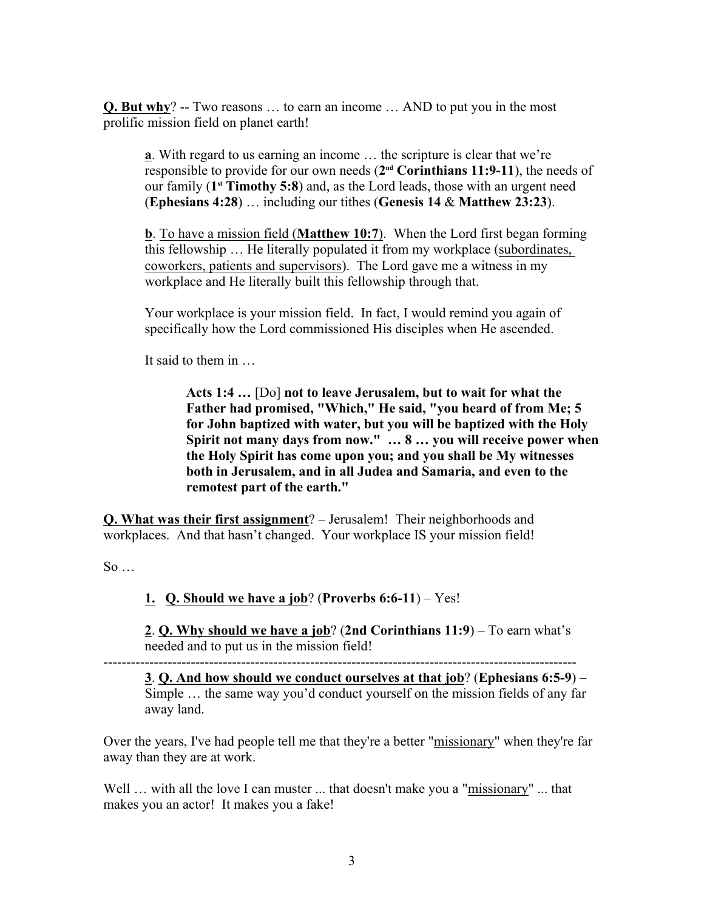**Q. But why**? -- Two reasons … to earn an income … AND to put you in the most prolific mission field on planet earth!

**a**. With regard to us earning an income … the scripture is clear that we're responsible to provide for our own needs (**2 nd Corinthians 11:9-11**), the needs of our family (1<sup>st</sup> Timothy 5:8) and, as the Lord leads, those with an urgent need (**Ephesians 4:28**) … including our tithes (**Genesis 14** & **Matthew 23:23**).

**b**. To have a mission field (**Matthew 10:7**). When the Lord first began forming this fellowship … He literally populated it from my workplace (subordinates, coworkers, patients and supervisors). The Lord gave me a witness in my workplace and He literally built this fellowship through that.

Your workplace is your mission field. In fact, I would remind you again of specifically how the Lord commissioned His disciples when He ascended.

It said to them in …

**Acts 1:4 …** [Do] **not to leave Jerusalem, but to wait for what the Father had promised, "Which," He said, "you heard of from Me; 5 for John baptized with water, but you will be baptized with the Holy Spirit not many days from now." … 8 … you will receive power when the Holy Spirit has come upon you; and you shall be My witnesses both in Jerusalem, and in all Judea and Samaria, and even to the remotest part of the earth."** 

**Q. What was their first assignment**? – Jerusalem! Their neighborhoods and workplaces. And that hasn't changed. Your workplace IS your mission field!

 $\text{So } \dots$ 

**1. Q. Should we have a job**? (**Proverbs 6:6-11**) – Yes!

**2**. **Q. Why should we have a job**? (**2nd Corinthians 11:9**) – To earn what's needed and to put us in the mission field!

**3**. **Q. And how should we conduct ourselves at that job**? (**Ephesians 6:5-9**) – Simple … the same way you'd conduct yourself on the mission fields of any far away land.

Over the years, I've had people tell me that they're a better "missionary" when they're far away than they are at work.

Well ... with all the love I can muster ... that doesn't make you a "missionary" ... that makes you an actor! It makes you a fake!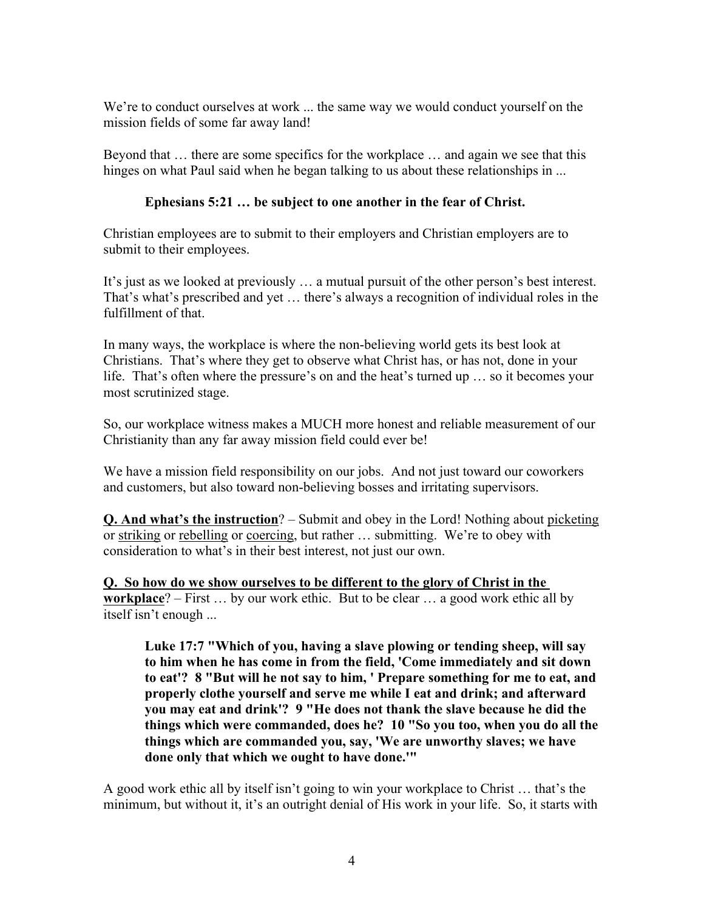We're to conduct ourselves at work ... the same way we would conduct yourself on the mission fields of some far away land!

Beyond that … there are some specifics for the workplace … and again we see that this hinges on what Paul said when he began talking to us about these relationships in ...

# **Ephesians 5:21 … be subject to one another in the fear of Christ.**

Christian employees are to submit to their employers and Christian employers are to submit to their employees.

It's just as we looked at previously … a mutual pursuit of the other person's best interest. That's what's prescribed and yet … there's always a recognition of individual roles in the fulfillment of that.

In many ways, the workplace is where the non-believing world gets its best look at Christians. That's where they get to observe what Christ has, or has not, done in your life. That's often where the pressure's on and the heat's turned up … so it becomes your most scrutinized stage.

So, our workplace witness makes a MUCH more honest and reliable measurement of our Christianity than any far away mission field could ever be!

We have a mission field responsibility on our jobs. And not just toward our coworkers and customers, but also toward non-believing bosses and irritating supervisors.

**Q. And what's the instruction**? – Submit and obey in the Lord! Nothing about picketing or striking or rebelling or coercing, but rather … submitting. We're to obey with consideration to what's in their best interest, not just our own.

**Q. So how do we show ourselves to be different to the glory of Christ in the workplace**? – First … by our work ethic. But to be clear … a good work ethic all by itself isn't enough ...

**Luke 17:7 "Which of you, having a slave plowing or tending sheep, will say to him when he has come in from the field, 'Come immediately and sit down to eat'? 8 "But will he not say to him, ' Prepare something for me to eat, and properly clothe yourself and serve me while I eat and drink; and afterward you may eat and drink'? 9 "He does not thank the slave because he did the things which were commanded, does he? 10 "So you too, when you do all the things which are commanded you, say, 'We are unworthy slaves; we have done only that which we ought to have done.'"** 

A good work ethic all by itself isn't going to win your workplace to Christ … that's the minimum, but without it, it's an outright denial of His work in your life. So, it starts with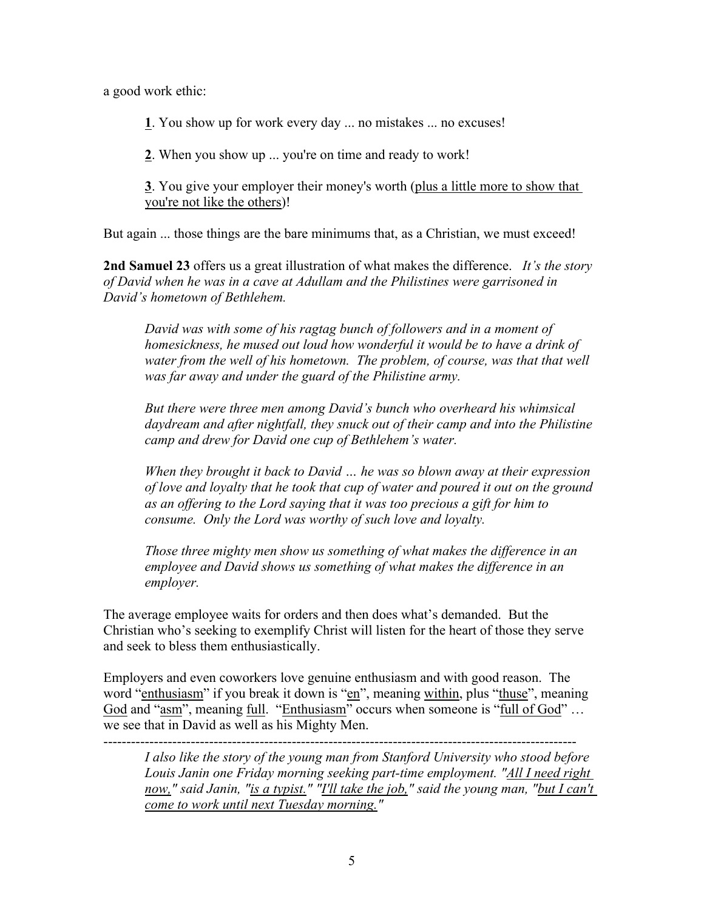a good work ethic:

**1**. You show up for work every day ... no mistakes ... no excuses!

**2**. When you show up ... you're on time and ready to work!

**3**. You give your employer their money's worth (plus a little more to show that you're not like the others)!

But again ... those things are the bare minimums that, as a Christian, we must exceed!

**2nd Samuel 23** offers us a great illustration of what makes the difference. *It's the story of David when he was in a cave at Adullam and the Philistines were garrisoned in David's hometown of Bethlehem.*

*David was with some of his ragtag bunch of followers and in a moment of homesickness, he mused out loud how wonderful it would be to have a drink of water from the well of his hometown. The problem, of course, was that that well was far away and under the guard of the Philistine army.* 

*But there were three men among David's bunch who overheard his whimsical daydream and after nightfall, they snuck out of their camp and into the Philistine camp and drew for David one cup of Bethlehem's water.* 

*When they brought it back to David … he was so blown away at their expression of love and loyalty that he took that cup of water and poured it out on the ground as an offering to the Lord saying that it was too precious a gift for him to consume. Only the Lord was worthy of such love and loyalty.* 

*Those three mighty men show us something of what makes the difference in an employee and David shows us something of what makes the difference in an employer.* 

The average employee waits for orders and then does what's demanded. But the Christian who's seeking to exemplify Christ will listen for the heart of those they serve and seek to bless them enthusiastically.

Employers and even coworkers love genuine enthusiasm and with good reason. The word "enthusiasm" if you break it down is "en", meaning within, plus "thuse", meaning God and "asm", meaning full. "Enthusiasm" occurs when someone is "full of God" ...  $\overline{we}$  see that in David as well as his Mighty Men.

*I also like the story of the young man from Stanford University who stood before Louis Janin one Friday morning seeking part-time employment. "All I need right*  now," said Janin, "is a typist." "I'll take the job," said the young man, "but I can't *come to work until next Tuesday morning."*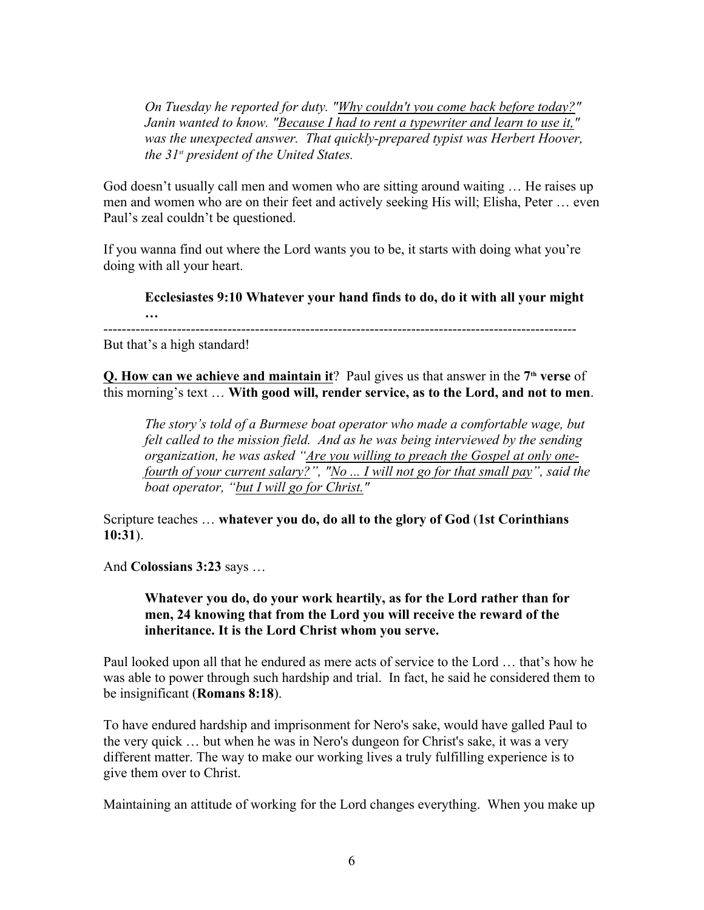*On Tuesday he reported for duty. "Why couldn't you come back before today?" Janin wanted to know. "Because I had to rent a typewriter and learn to use it,"*  was the unexpected answer. That quickly-prepared typist was Herbert Hoover, *the 31st president of the United States.* 

God doesn't usually call men and women who are sitting around waiting … He raises up men and women who are on their feet and actively seeking His will; Elisha, Peter … even Paul's zeal couldn't be questioned.

If you wanna find out where the Lord wants you to be, it starts with doing what you're doing with all your heart.

**Ecclesiastes 9:10 Whatever your hand finds to do, do it with all your might …**

-------------------------------------------------------------------------------------------------------

But that's a high standard!

**Q. How can we achieve and maintain it**? Paul gives us that answer in the 7<sup>th</sup> verse of this morning's text … **With good will, render service, as to the Lord, and not to men**.

*The story's told of a Burmese boat operator who made a comfortable wage, but felt called to the mission field. And as he was being interviewed by the sending organization, he was asked "Are you willing to preach the Gospel at only onefourth of your current salary?", "No ... I will not go for that small pay", said the boat operator, "but I will go for Christ."* 

Scripture teaches … **whatever you do, do all to the glory of God** (**1st Corinthians 10:31**).

And **Colossians 3:23** says …

## **Whatever you do, do your work heartily, as for the Lord rather than for men, 24 knowing that from the Lord you will receive the reward of the inheritance. It is the Lord Christ whom you serve.**

Paul looked upon all that he endured as mere acts of service to the Lord … that's how he was able to power through such hardship and trial. In fact, he said he considered them to be insignificant (**Romans 8:18**).

To have endured hardship and imprisonment for Nero's sake, would have galled Paul to the very quick … but when he was in Nero's dungeon for Christ's sake, it was a very different matter. The way to make our working lives a truly fulfilling experience is to give them over to Christ.

Maintaining an attitude of working for the Lord changes everything. When you make up